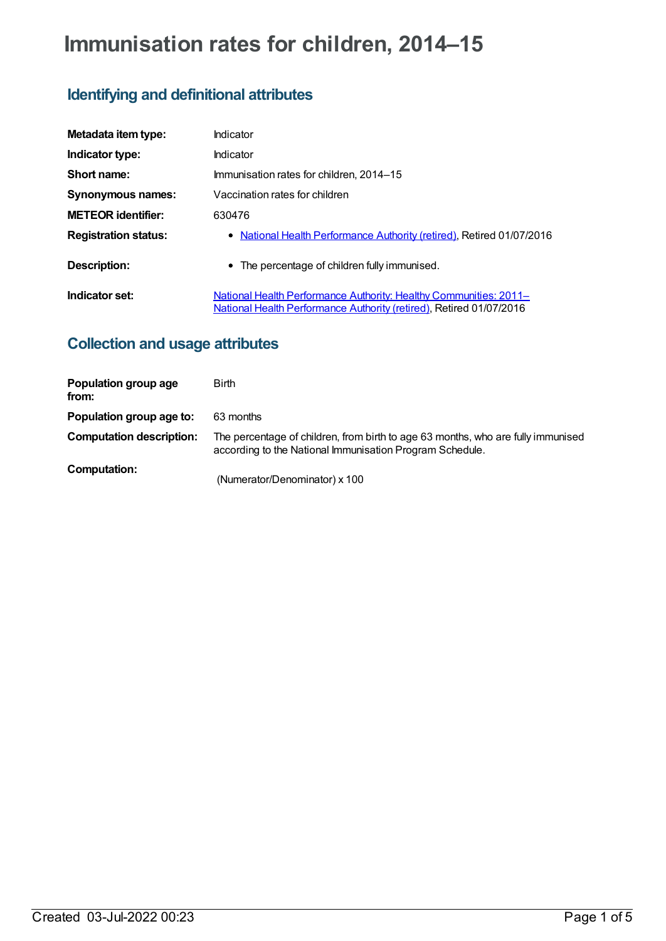# **Immunisation rates for children, 2014–15**

# **Identifying and definitional attributes**

| Metadata item type:         | Indicator                                                                                                                                |
|-----------------------------|------------------------------------------------------------------------------------------------------------------------------------------|
| Indicator type:             | Indicator                                                                                                                                |
| Short name:                 | Immunisation rates for children, 2014–15                                                                                                 |
| <b>Synonymous names:</b>    | Vaccination rates for children                                                                                                           |
| <b>METEOR identifier:</b>   | 630476                                                                                                                                   |
| <b>Registration status:</b> | • National Health Performance Authority (retired), Retired 01/07/2016                                                                    |
| Description:                | • The percentage of children fully immunised.                                                                                            |
| Indicator set:              | National Health Performance Authority: Healthy Communities: 2011–<br>National Health Performance Authority (retired), Retired 01/07/2016 |

# **Collection and usage attributes**

| Population group age<br>from:   | <b>Birth</b>                                                                                                                                 |
|---------------------------------|----------------------------------------------------------------------------------------------------------------------------------------------|
| Population group age to:        | 63 months                                                                                                                                    |
| <b>Computation description:</b> | The percentage of children, from birth to age 63 months, who are fully immunised<br>according to the National Immunisation Program Schedule. |
| Computation:                    | (Numerator/Denominator) x 100                                                                                                                |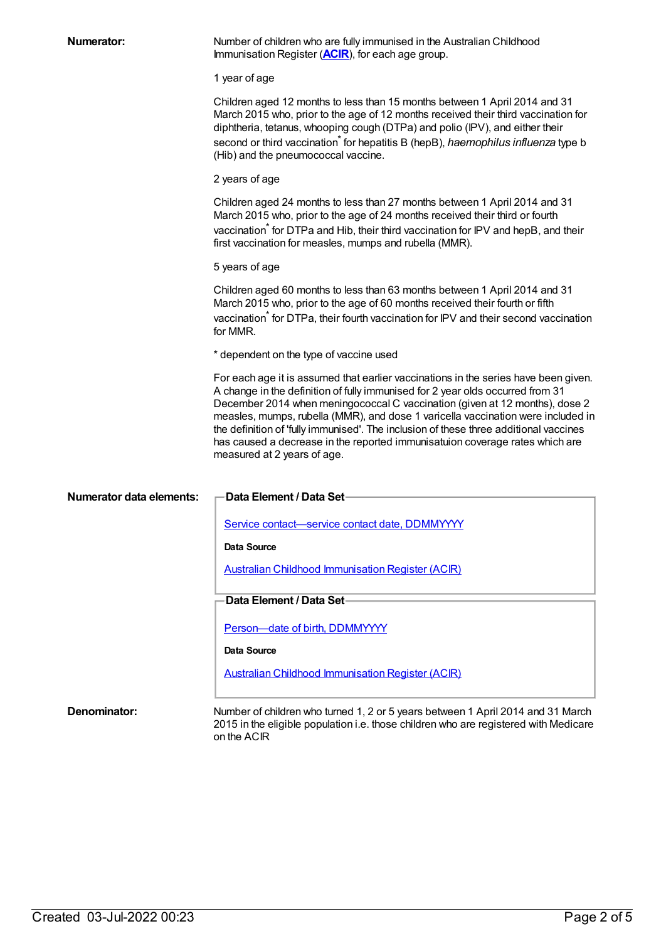**Numerator:** Number of children who are fully immunised in the Australian Childhood Immunisation Register (**[ACIR](https://meteor.aihw.gov.au/content/523595)**), for each age group.

1 year of age

Children aged 12 months to less than 15 months between 1 April 2014 and 31 March 2015 who, prior to the age of 12 months received their third vaccination for diphtheria, tetanus, whooping cough (DTPa) and polio (IPV), and either their second or third vaccination \* for hepatitis B (hepB), *haemophilus influenza* type b (Hib) and the pneumococcal vaccine.

2 years of age

Children aged 24 months to less than 27 months between 1 April 2014 and 31 March 2015 who, prior to the age of 24 months received their third or fourth vaccination tfor DTPa and Hib, their third vaccination for IPV and hepB, and their first vaccination for measles, mumps and rubella (MMR).

5 years of age

Children aged 60 months to less than 63 months between 1 April 2014 and 31 March 2015 who, prior to the age of 60 months received their fourth or fifth vaccination<sup>\*</sup> for DTPa, their fourth vaccination for IPV and their second vaccination for MMR.

\* dependent on the type of vaccine used

For each age it is assumed that earlier vaccinations in the series have been given. A change in the definition of fully immunised for 2 year olds occurred from 31 December 2014 when meningococcal C vaccination (given at 12 months), dose 2 measles, mumps, rubella (MMR), and dose 1 varicella vaccination were included in the definition of 'fully immunised'. The inclusion of these three additional vaccines has caused a decrease in the reported immunisatuion coverage rates which are measured at 2 years of age.

| Numerator data elements: | -Data Element / Data Set                                                                                                                                                               |
|--------------------------|----------------------------------------------------------------------------------------------------------------------------------------------------------------------------------------|
|                          | Service contact—service contact date, DDMMYYYY                                                                                                                                         |
|                          | Data Source                                                                                                                                                                            |
|                          | <b>Australian Childhood Immunisation Register (ACIR)</b>                                                                                                                               |
|                          | <b>Data Element / Data Set-</b>                                                                                                                                                        |
|                          | Person—date of birth, DDMMYYYY                                                                                                                                                         |
|                          | Data Source                                                                                                                                                                            |
|                          | <b>Australian Childhood Immunisation Register (ACIR)</b>                                                                                                                               |
|                          |                                                                                                                                                                                        |
| Denominator:             | Number of children who turned 1, 2 or 5 years between 1 April 2014 and 31 March<br>2015 in the eligible population i.e. those children who are registered with Medicare<br>on the ACIR |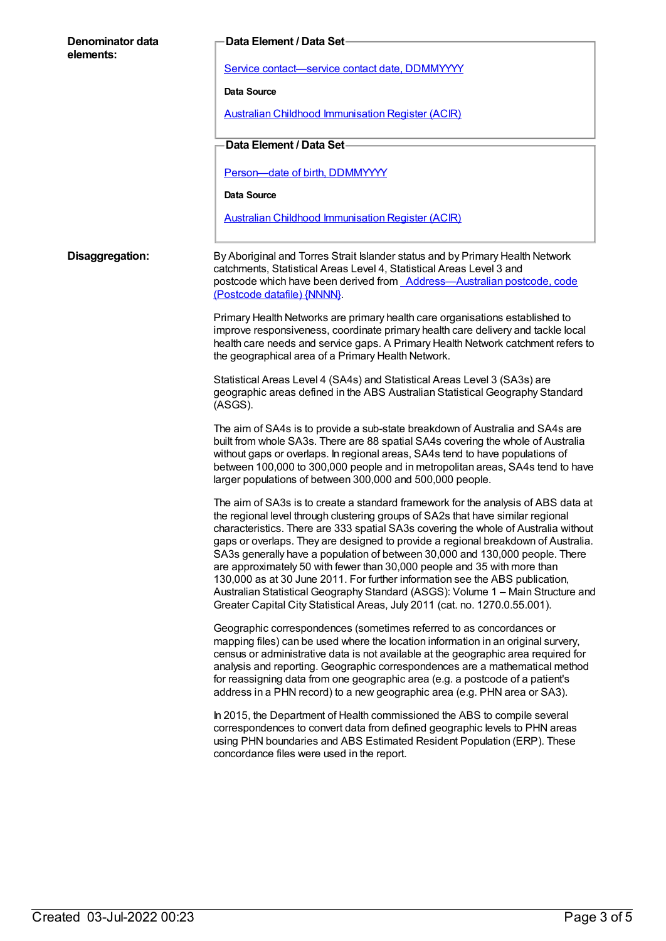| Denominator data<br>elements: | Data Element / Data Set                                                                                                                                                                                                                                                                                                                                                                                                                                                                                                                                                                                                                                                                                                                                        |
|-------------------------------|----------------------------------------------------------------------------------------------------------------------------------------------------------------------------------------------------------------------------------------------------------------------------------------------------------------------------------------------------------------------------------------------------------------------------------------------------------------------------------------------------------------------------------------------------------------------------------------------------------------------------------------------------------------------------------------------------------------------------------------------------------------|
|                               | Service contact-service contact date, DDMMYYYY                                                                                                                                                                                                                                                                                                                                                                                                                                                                                                                                                                                                                                                                                                                 |
|                               | Data Source                                                                                                                                                                                                                                                                                                                                                                                                                                                                                                                                                                                                                                                                                                                                                    |
|                               | <b>Australian Childhood Immunisation Register (ACIR)</b>                                                                                                                                                                                                                                                                                                                                                                                                                                                                                                                                                                                                                                                                                                       |
|                               | Data Element / Data Set-                                                                                                                                                                                                                                                                                                                                                                                                                                                                                                                                                                                                                                                                                                                                       |
|                               | Person-date of birth, DDMMYYYY                                                                                                                                                                                                                                                                                                                                                                                                                                                                                                                                                                                                                                                                                                                                 |
|                               | Data Source                                                                                                                                                                                                                                                                                                                                                                                                                                                                                                                                                                                                                                                                                                                                                    |
|                               | <b>Australian Childhood Immunisation Register (ACIR)</b>                                                                                                                                                                                                                                                                                                                                                                                                                                                                                                                                                                                                                                                                                                       |
| Disaggregation:               | By Aboriginal and Torres Strait Islander status and by Primary Health Network<br>catchments, Statistical Areas Level 4, Statistical Areas Level 3 and<br>postcode which have been derived from <b>Address-Australian postcode</b> , code<br>(Postcode datafile) {NNNN}                                                                                                                                                                                                                                                                                                                                                                                                                                                                                         |
|                               | Primary Health Networks are primary health care organisations established to<br>improve responsiveness, coordinate primary health care delivery and tackle local<br>health care needs and service gaps. A Primary Health Network catchment refers to<br>the geographical area of a Primary Health Network.                                                                                                                                                                                                                                                                                                                                                                                                                                                     |
|                               | Statistical Areas Level 4 (SA4s) and Statistical Areas Level 3 (SA3s) are<br>geographic areas defined in the ABS Australian Statistical Geography Standard<br>(ASGS).                                                                                                                                                                                                                                                                                                                                                                                                                                                                                                                                                                                          |
|                               | The aim of SA4s is to provide a sub-state breakdown of Australia and SA4s are<br>built from whole SA3s. There are 88 spatial SA4s covering the whole of Australia<br>without gaps or overlaps. In regional areas, SA4s tend to have populations of<br>between 100,000 to 300,000 people and in metropolitan areas, SA4s tend to have<br>larger populations of between 300,000 and 500,000 people.                                                                                                                                                                                                                                                                                                                                                              |
|                               | The aim of SA3s is to create a standard framework for the analysis of ABS data at<br>the regional level through clustering groups of SA2s that have similar regional<br>characteristics. There are 333 spatial SA3s covering the whole of Australia without<br>gaps or overlaps. They are designed to provide a regional breakdown of Australia.<br>SA3s generally have a population of between 30,000 and 130,000 people. There<br>are approximately 50 with fewer than 30,000 people and 35 with more than<br>130,000 as at 30 June 2011. For further information see the ABS publication,<br>Australian Statistical Geography Standard (ASGS): Volume 1 - Main Structure and<br>Greater Capital City Statistical Areas, July 2011 (cat. no. 1270.0.55.001). |
|                               | Geographic correspondences (sometimes referred to as concordances or<br>mapping files) can be used where the location information in an original survery,<br>census or administrative data is not available at the geographic area required for<br>analysis and reporting. Geographic correspondences are a mathematical method<br>for reassigning data from one geographic area (e.g. a postcode of a patient's<br>address in a PHN record) to a new geographic area (e.g. PHN area or SA3).                                                                                                                                                                                                                                                                  |
|                               | In 2015, the Department of Health commissioned the ABS to compile several<br>correspondences to convert data from defined geographic levels to PHN areas<br>using PHN boundaries and ABS Estimated Resident Population (ERP). These<br>concordance files were used in the report.                                                                                                                                                                                                                                                                                                                                                                                                                                                                              |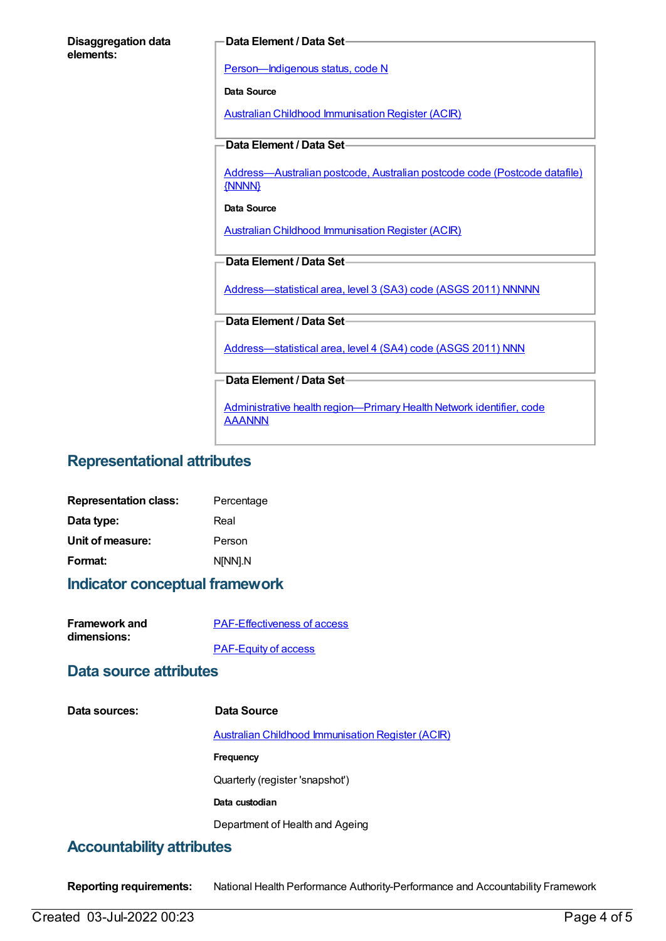| <b>Disaggregation data</b> |  |
|----------------------------|--|
| elements:                  |  |

#### **Data Element / Data Set**

[Person—Indigenous](https://meteor.aihw.gov.au/content/291036) status, code N

**Data Source**

Australian Childhood [Immunisation](https://meteor.aihw.gov.au/content/394254) Register (ACIR)

#### **Data Element / Data Set**

[Address—Australian](https://meteor.aihw.gov.au/content/429894) postcode, Australian postcode code (Postcode datafile) {NNNN}

#### **Data Source**

Australian Childhood [Immunisation](https://meteor.aihw.gov.au/content/394254) Register (ACIR)

#### **Data Element / Data Set**

[Address—statistical](https://meteor.aihw.gov.au/content/457293) area, level 3 (SA3) code (ASGS 2011) NNNNN

#### **Data Element / Data Set**

[Address—statistical](https://meteor.aihw.gov.au/content/609805) area, level 4 (SA4) code (ASGS 2011) NNN

**Data Element / Data Set**

Administrative health [region—Primary](https://meteor.aihw.gov.au/content/611088) Health Network identifier, code AAANNN

## **Representational attributes**

| <b>Representation class:</b> | Percentage |
|------------------------------|------------|
| Data type:                   | Real       |
| Unit of measure:             | Person     |
| Format:                      | N[NN].N    |

## **Indicator conceptual framework**

| <b>Framework and</b> | <b>PAF-Effectiveness of access</b> |
|----------------------|------------------------------------|
| dimensions:          |                                    |
|                      | <b>PAF-Equity of access</b>        |

### **Data source attributes**

| Data sources: | Data Source                                              |
|---------------|----------------------------------------------------------|
|               | <b>Australian Childhood Immunisation Register (ACIR)</b> |
|               | <b>Frequency</b>                                         |
|               | Quarterly (register 'snapshot')                          |
|               | Data custodian                                           |
|               | Department of Health and Ageing                          |
|               |                                                          |

## **Accountability attributes**

**Reporting requirements:** National Health Performance Authority-Performance and Accountability Framework